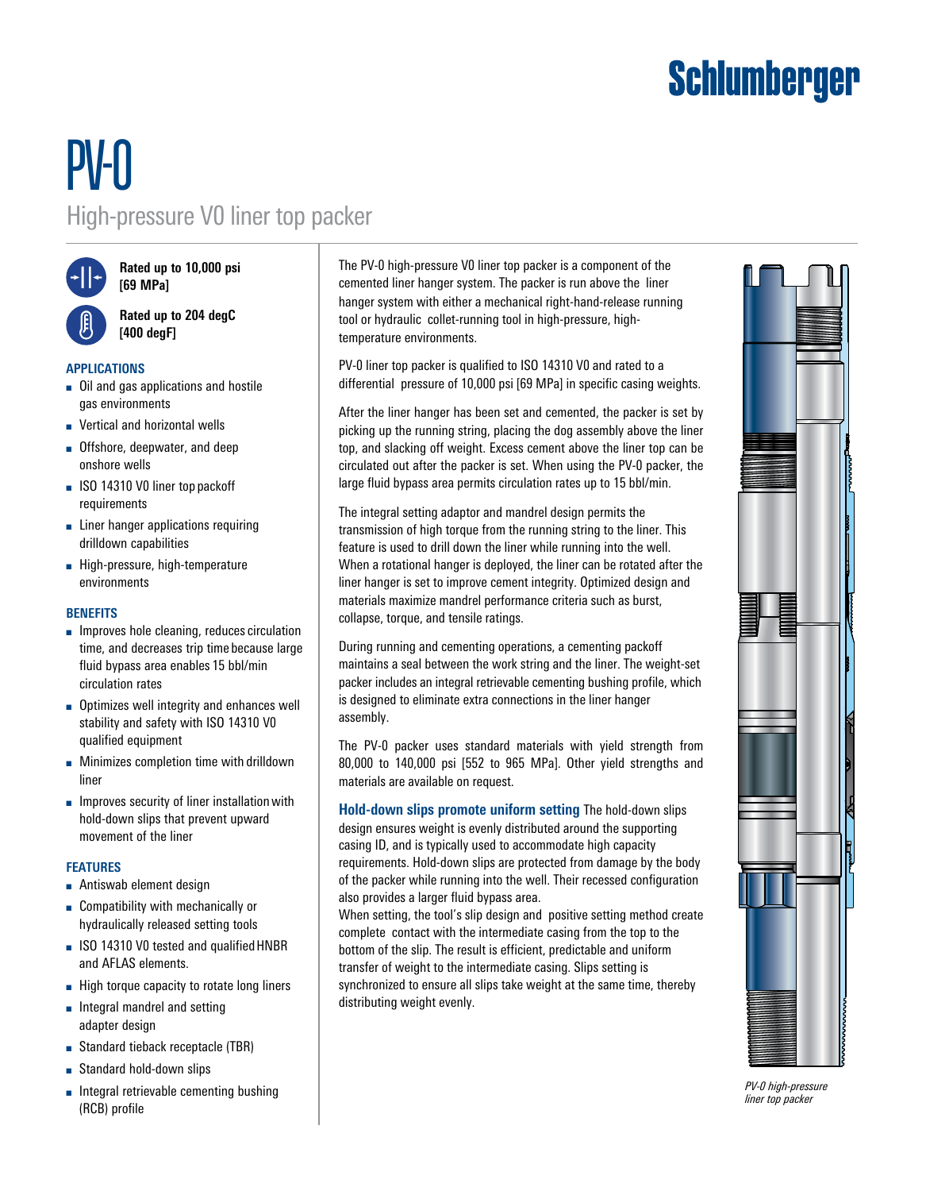# **Schlumberger**

# PV-0 High-pressure V0 liner top packer



**Rated up to 10,000 psi [69 MPa]**



**Rated up to 204 degC [400 degF]**

## **APPLICATIONS**

- Oil and gas applications and hostile gas environments
- Vertical and horizontal wells
- Offshore, deepwater, and deep onshore wells
- ISO 14310 V0 liner top packoff requirements
- Liner hanger applications requiring drilldown capabilities
- High-pressure, high-temperature environments

### **BENEFITS**

- Improves hole cleaning, reduces circulation time, and decreases trip time because large fluid bypass area enables 15 bbl/min circulation rates
- Optimizes well integrity and enhances well stability and safety with ISO 14310 V0 qualified equipment
- Minimizes completion time with drilldown liner
- Improves security of liner installation with hold-down slips that prevent upward movement of the liner

### **FEATURES**

- Antiswab element design
- Compatibility with mechanically or hydraulically released setting tools
- ISO 14310 V0 tested and qualified HNBR and AFLAS elements.
- High torque capacity to rotate long liners
- Integral mandrel and setting adapter design
- Standard tieback receptacle (TBR)
- Standard hold-down slips
- Integral retrievable cementing bushing (RCB) profile

The PV-0 high-pressure V0 liner top packer is a component of the cemented liner hanger system. The packer is run above the liner hanger system with either a mechanical right-hand-release running tool or hydraulic collet-running tool in high-pressure, hightemperature environments.

PV-0 liner top packer is qualified to ISO 14310 V0 and rated to a differential pressure of 10,000 psi [69 MPa] in specific casing weights.

After the liner hanger has been set and cemented, the packer is set by picking up the running string, placing the dog assembly above the liner top, and slacking off weight. Excess cement above the liner top can be circulated out after the packer is set. When using the PV-0 packer, the large fluid bypass area permits circulation rates up to 15 bbl/min.

The integral setting adaptor and mandrel design permits the transmission of high torque from the running string to the liner. This feature is used to drill down the liner while running into the well. When a rotational hanger is deployed, the liner can be rotated after the liner hanger is set to improve cement integrity. Optimized design and materials maximize mandrel performance criteria such as burst, collapse, torque, and tensile ratings.

During running and cementing operations, a cementing packoff maintains a seal between the work string and the liner. The weight-set packer includes an integral retrievable cementing bushing profile, which is designed to eliminate extra connections in the liner hanger assembly.

The PV-0 packer uses standard materials with yield strength from 80,000 to 140,000 psi [552 to 965 MPa]. Other yield strengths and materials are available on request.

**Hold-down slips promote uniform setting** The hold-down slips design ensures weight is evenly distributed around the supporting casing ID, and is typically used to accommodate high capacity requirements. Hold-down slips are protected from damage by the body of the packer while running into the well. Their recessed configuration also provides a larger fluid bypass area.

When setting, the tool's slip design and positive setting method create complete contact with the intermediate casing from the top to the bottom of the slip. The result is efficient, predictable and uniform transfer of weight to the intermediate casing. Slips setting is synchronized to ensure all slips take weight at the same time, thereby distributing weight evenly.



*PV-0 high-pressure liner top packer*